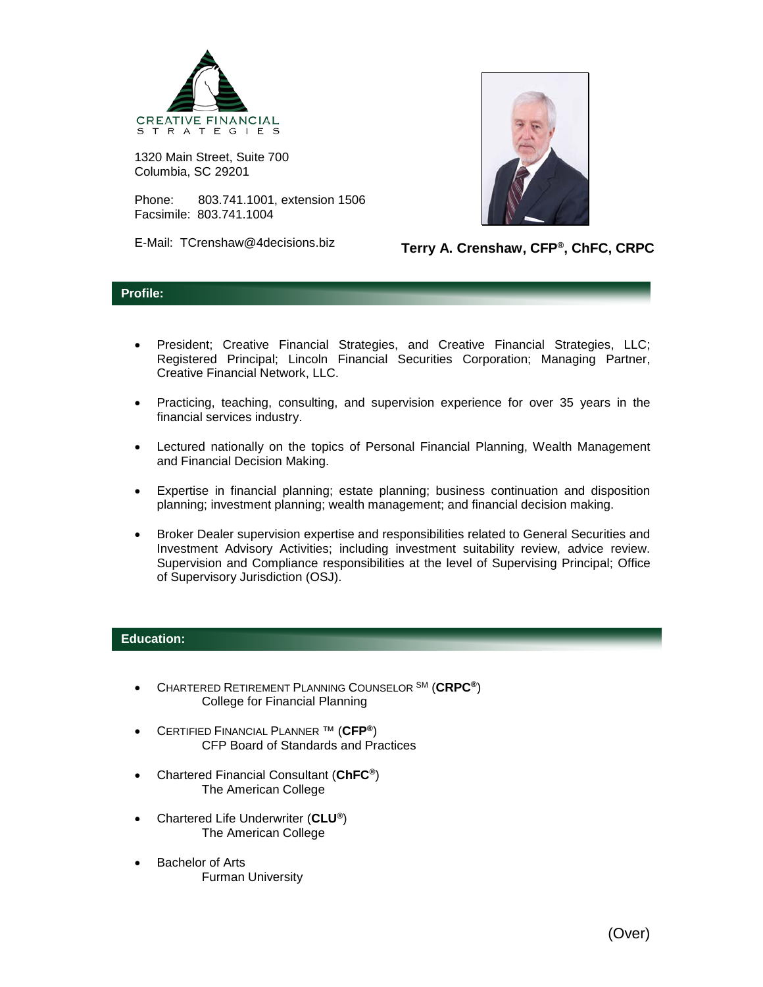

1320 Main Street, Suite 700 Columbia, SC 29201

Phone: 803.741.1001, extension 1506 Facsimile: 803.741.1004

E-Mail: TCrenshaw@4decisions.biz



**Terry A. Crenshaw, CFP®, ChFC, CRPC**

## **Profile:**

- President; Creative Financial Strategies, and Creative Financial Strategies, LLC; Registered Principal; Lincoln Financial Securities Corporation; Managing Partner, Creative Financial Network, LLC.
- Practicing, teaching, consulting, and supervision experience for over 35 years in the financial services industry.
- Lectured nationally on the topics of Personal Financial Planning, Wealth Management and Financial Decision Making.
- Expertise in financial planning; estate planning; business continuation and disposition planning; investment planning; wealth management; and financial decision making.
- Broker Dealer supervision expertise and responsibilities related to General Securities and Investment Advisory Activities; including investment suitability review, advice review. Supervision and Compliance responsibilities at the level of Supervising Principal; Office of Supervisory Jurisdiction (OSJ).

## **Education:**

- CHARTERED RETIREMENT PLANNING COUNSELOR SM (**CRPC®**) College for Financial Planning
- CERTIFIED FINANCIAL PLANNER ™ (**CFP®**) CFP Board of Standards and Practices
- Chartered Financial Consultant (**ChFC®**) The American College
- Chartered Life Underwriter (**CLU®**) The American College
- **Bachelor of Arts** Furman University